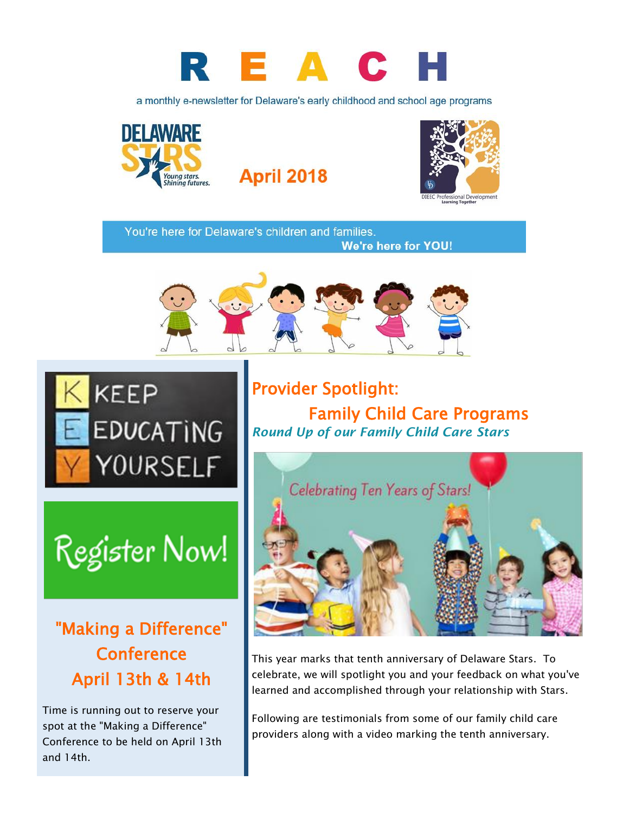

a monthly e-newsletter for Delaware's early childhood and school age programs



**April 2018** 



You're here for Delaware's children and families. **We're here for YOU!** 





# Register Now!

"Making a Difference" **Conference** April 13th & 14th

Time is running out to reserve your spot at the "Making a Difference" Conference to be held on April 13th and 14th.

Provider Spotlight: Family Child Care Programs *Round Up of our Family Child Care Stars*



This year marks that tenth anniversary of Delaware Stars. To celebrate, we will spotlight you and your feedback on what you've learned and accomplished through your relationship with Stars.

Following are testimonials from some of our family child care providers along with a video marking the tenth anniversary.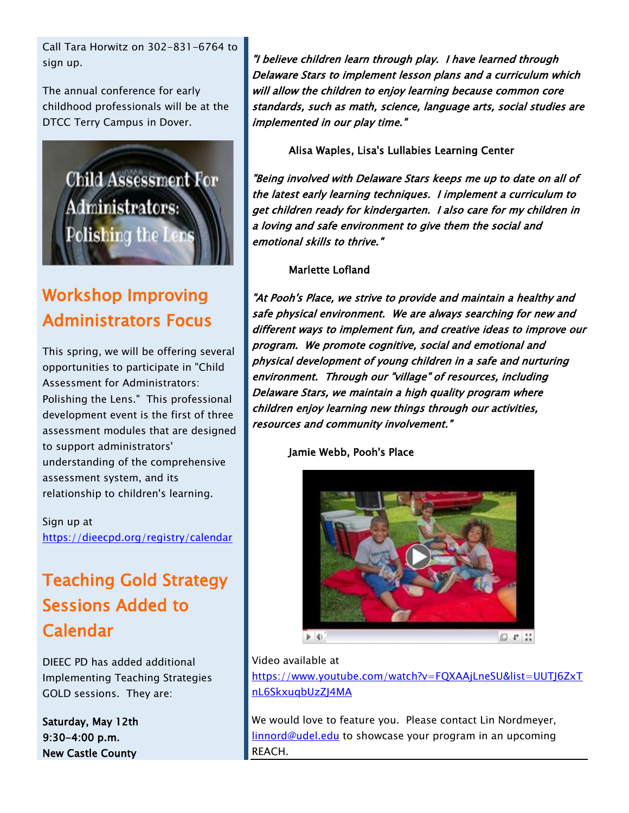Call Tara Horwitz on 302-831-6764 to sign up.

The annual conference for early childhood professionals will be at the DTCC Terry Campus in Dover.



# Workshop Improving Administrators Focus

This spring, we will be offering several opportunities to participate in "Child Assessment for Administrators: Polishing the Lens." This professional development event is the first of three assessment modules that are designed to support administrators' understanding of the comprehensive assessment system, and its relationship to children's learning.

Sign up at <https://dieecpd.org/registry/calendar>

## Teaching Gold Strategy Sessions Added to Calendar

DIEEC PD has added additional Implementing Teaching Strategies GOLD sessions. They are:

Saturday, May 12th 9:30-4:00 p.m. New Castle County

"I believe children learn through play. I have learned through Delaware Stars to implement lesson plans and a curriculum which will allow the children to enjoy learning because common core standards, such as math, science, language arts, social studies are implemented in our play time."

Alisa Waples, Lisa's Lullabies Learning Center

"Being involved with Delaware Stars keeps me up to date on all of the latest early learning techniques. I implement a curriculum to get children ready for kindergarten. I also care for my children in a loving and safe environment to give them the social and emotional skills to thrive."

#### Marlette Lofland

"At Pooh's Place, we strive to provide and maintain a healthy and safe physical environment. We are always searching for new and different ways to implement fun, and creative ideas to improve our program. We promote cognitive, social and emotional and physical development of young children in a safe and nurturing environment. Through our "village" of resources, including Delaware Stars, we maintain a high quality program where children enjoy learning new things through our activities, resources and community involvement."

Jamie Webb, Pooh's Place



#### Video available at

[https://www.youtube.com/watch?v=FQXAAjLneSU&list=UUTJ6ZxT](https://www.youtube.com/watch?v=FQXAAjLneSU&list=UUTJ6ZxTnL6SkxuqbUzZJ4MA) [nL6SkxuqbUzZJ4MA](https://www.youtube.com/watch?v=FQXAAjLneSU&list=UUTJ6ZxTnL6SkxuqbUzZJ4MA) 

We would love to feature you. Please contact Lin Nordmeyer, [linnord@udel.edu](mailto:linnord@udel.edu) to showcase your program in an upcoming REACH.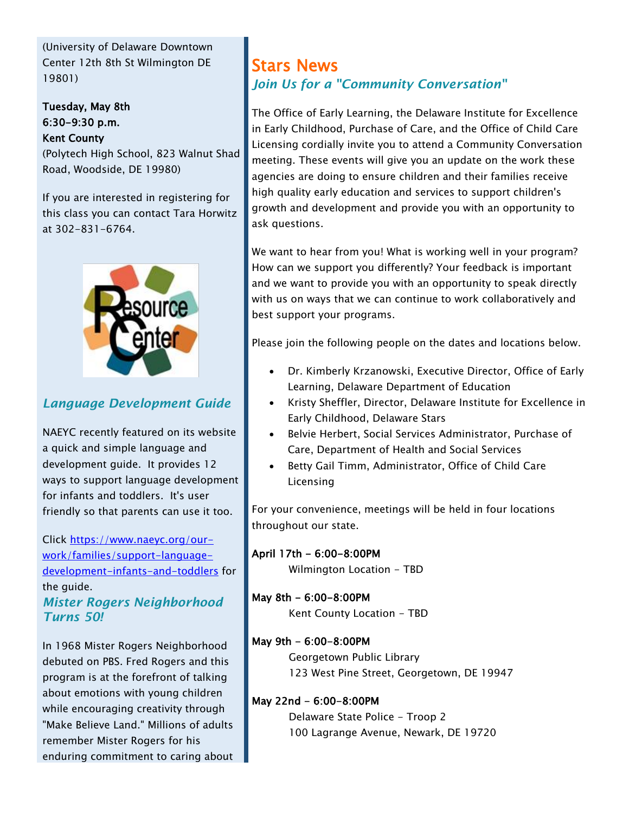(University of Delaware Downtown Center 12th 8th St Wilmington DE 19801)

Tuesday, May 8th 6:30-9:30 p.m. Kent County

(Polytech High School, 823 Walnut Shad Road, Woodside, DE 19980)

If you are interested in registering for this class you can contact Tara Horwitz at 302-831-6764.



## *Language Development Guide*

NAEYC recently featured on its website a quick and simple language and development guide. It provides 12 ways to support language development for infants and toddlers. It's user friendly so that parents can use it too.

#### Click [https://www.naeyc.org/our](https://www.naeyc.org/our-work/families/support-language-development-infants-and-toddlers)[work/families/support-language](https://www.naeyc.org/our-work/families/support-language-development-infants-and-toddlers)[development-infants-and-toddlers](https://www.naeyc.org/our-work/families/support-language-development-infants-and-toddlers) for the guide. *Mister Rogers Neighborhood Turns 50!*

In 1968 Mister Rogers Neighborhood debuted on PBS. Fred Rogers and this program is at the forefront of talking about emotions with young children while encouraging creativity through "Make Believe Land." Millions of adults remember Mister Rogers for his enduring commitment to caring about

## Stars News *Join Us for a "Community Conversation"*

The Office of Early Learning, the Delaware Institute for Excellence in Early Childhood, Purchase of Care, and the Office of Child Care Licensing cordially invite you to attend a Community Conversation meeting. These events will give you an update on the work these agencies are doing to ensure children and their families receive high quality early education and services to support children's growth and development and provide you with an opportunity to ask questions.

We want to hear from you! What is working well in your program? How can we support you differently? Your feedback is important and we want to provide you with an opportunity to speak directly with us on ways that we can continue to work collaboratively and best support your programs.

Please join the following people on the dates and locations below.

- Dr. Kimberly Krzanowski, Executive Director, Office of Early Learning, Delaware Department of Education
- Kristy Sheffler, Director, Delaware Institute for Excellence in Early Childhood, Delaware Stars
- Belvie Herbert, Social Services Administrator, Purchase of Care, Department of Health and Social Services
- Betty Gail Timm, Administrator, Office of Child Care Licensing

For your convenience, meetings will be held in four locations throughout our state.

#### April 17th - 6:00-8:00PM

Wilmington Location - TBD

#### May 8th - 6:00-8:00PM

Kent County Location - TBD

#### May 9th - 6:00-8:00PM

Georgetown Public Library 123 West Pine Street, Georgetown, DE 19947

#### May 22nd - 6:00-8:00PM

Delaware State Police - Troop 2 100 Lagrange Avenue, Newark, DE 19720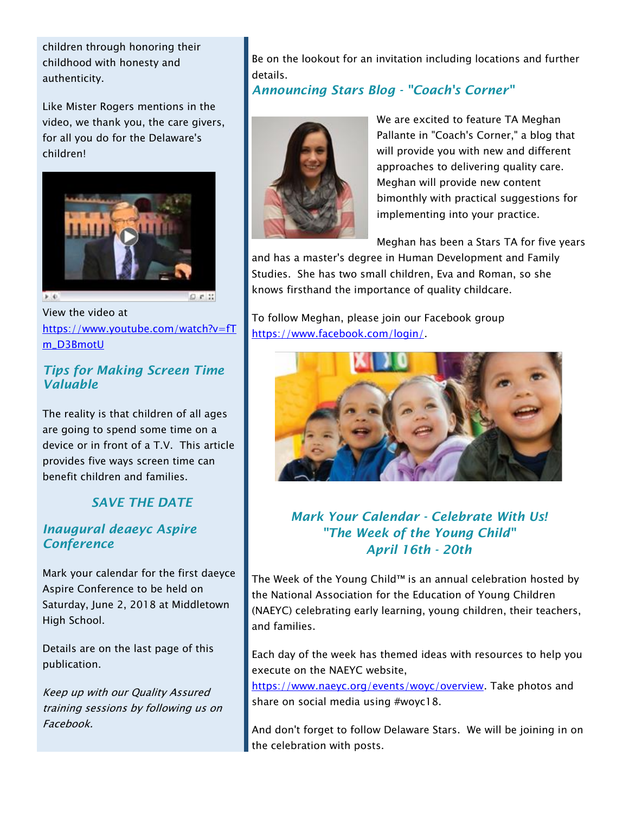children through honoring their childhood with honesty and authenticity.

Like Mister Rogers mentions in the video, we thank you, the care givers, for all you do for the Delaware's children!



 $5.4$ 

View the video at [https://www.youtube.com/watch?v=fT](https://www.youtube.com/watch?v=fTm_D3BmotU) [m\\_D3BmotU](https://www.youtube.com/watch?v=fTm_D3BmotU)

#### *Tips for Making Screen Time Valuable*

The reality is that children of all ages are going to spend some time on a device or in front of a T.V. This article provides five ways screen time can benefit children and families.

### *SAVE THE DATE*

#### *Inaugural deaeyc Aspire Conference*

Mark your calendar for the first daeyce Aspire Conference to be held on Saturday, June 2, 2018 at Middletown High School.

Details are on the last page of this publication.

Keep up with our Quality Assured training sessions by following us on Facebook.

Be on the lookout for an invitation including locations and further details.

*Announcing Stars Blog - "Coach's Corner"*



We are excited to feature TA Meghan Pallante in "Coach's Corner," a blog that will provide you with new and different approaches to delivering quality care. Meghan will provide new content bimonthly with practical suggestions for implementing into your practice.

Meghan has been a Stars TA for five years

and has a master's degree in Human Development and Family Studies. She has two small children, Eva and Roman, so she knows firsthand the importance of quality childcare.

To follow Meghan, please join our Facebook group [https://www.facebook.com/login/.](https://www.facebook.com/login/)



*Mark Your Calendar - Celebrate With Us! "The Week of the Young Child" April 16th - 20th*

The Week of the Young Child™ is an annual celebration hosted by the National Association for the Education of Young Children (NAEYC) celebrating early learning, young children, their teachers, and families.

Each day of the week has themed ideas with resources to help you execute on the NAEYC website,

[https://www.naeyc.org/events/woyc/overview.](https://www.naeyc.org/events/woyc/overview) Take photos and share on social media using #woyc18.

And don't forget to follow Delaware Stars. We will be joining in on the celebration with posts.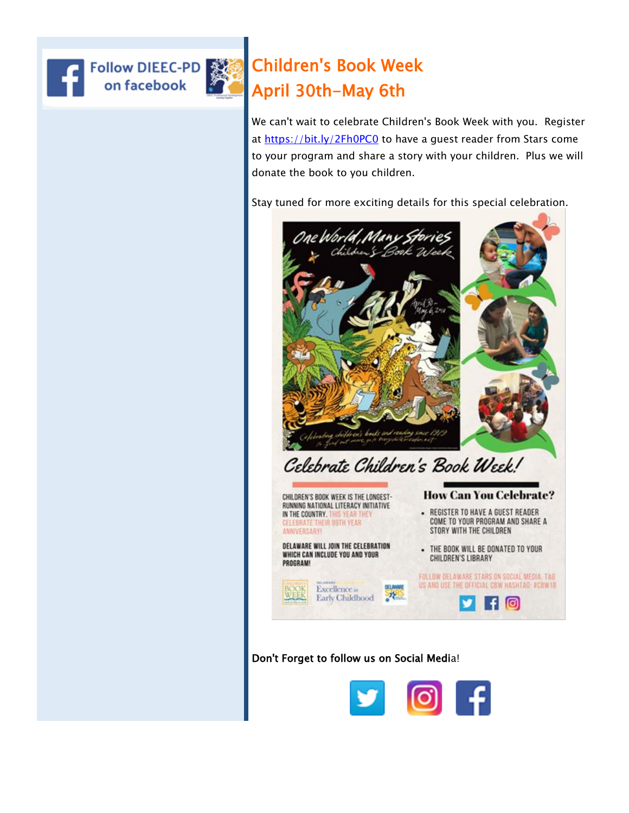



# Children's Book Week April 30th-May 6th

We can't wait to celebrate Children's Book Week with you. Register at<https://bit.ly/2Fh0PC0> to have a guest reader from Stars come to your program and share a story with your children. Plus we will donate the book to you children.

Stay tuned for more exciting details for this special celebration.



Don't Forget to follow us on Social Media!